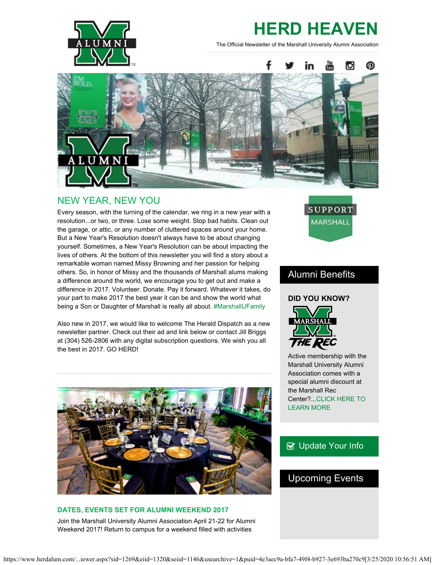

# **HERD HEAVEN**

The Official Newsletter of the Marshall University Alumni Association



## NEW YEAR, NEW YOU

Every season, with the turning of the calendar, we ring in a new year with a resolution...or two, or three. Lose some weight. Stop bad habits. Clean out the garage, or attic, or any number of cluttered spaces around your home. But a New Year's Resolution doesn't always have to be about changing yourself. Sometimes, a New Year's Resolution can be about impacting the lives of others. At the bottom of this newsletter you will find a story about a remarkable woman named Missy Browning and her passion for helping others. So, in honor of Missy and the thousands of Marshall alums making a difference around the world, we encourage you to get out and make a difference in 2017. Volunteer. Donate. Pay it forward. Whatever it takes, do your part to make 2017 the best year it can be and show the world what being a Son or Daughter of Marshall is really all about. [#MarshallUFamily](https://twitter.com/herdalumni)

Also new in 2017, we would like to welcome The Herald Dispatch as a new newsletter partner. Check out their ad and link below or contact Jill Briggs at (304) 526-2806 with any digital subscription questions. We wish you all the best in 2017. GO HERD!



## **DATES, EVENTS SET FOR ALUMNI WEEKEND 2017** Join the Marshall University Alumni Association April 21-22 for Alumni Weekend 2017! Return to campus for a weekend filled with activities



## Alumni Benefits

## **DID YOU KNOW?**



Active membership with the Marshall University Alumni Association comes with a special alumni discount at the Marshall Rec Center?..[.CLICK HERE TO](http://www.marshallcampusrec.com/) [LEARN MORE](http://www.marshallcampusrec.com/)

## **B** [Update Your Info](http://www.herdalum.com/s/1269/index.aspx?sid=1269&gid=1&pgid=6&cid=41#/Search/Simple)

## Upcoming Events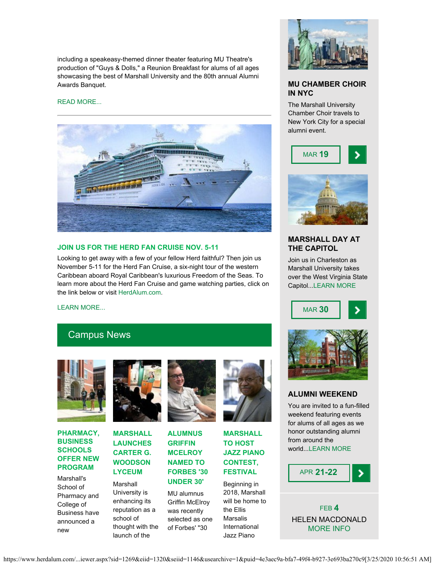including a speakeasy-themed dinner theater featuring MU Theatre's production of "Guys & Dolls," a Reunion Breakfast for alums of all ages showcasing the best of Marshall University and the 80th annual Alumni Awards Banquet.

#### [READ MORE...](https://www.herdalum.com/s/1269/images/editor_documents/lc/herd_heaven/alumniweekend_digitalbro2017.pdf)



#### **JOIN US FOR THE HERD FAN CRUISE NOV. 5-11**

Looking to get away with a few of your fellow Herd faithful? Then join us November 5-11 for the Herd Fan Cruise, a six-night tour of the western Caribbean aboard Royal Caribbean's luxurious Freedom of the Seas. To learn more about the Herd Fan Cruise and game watching parties, click on the link below or visit [HerdAlum.com](http://www.herdalum.com/s/1269/start.aspx).

[LEARN MORE...](https://www.herdalum.com/s/1269/images/editor_documents/lc/herd_heaven/herd_fan_cruise_flyer_2017.pdf)

## Campus News



#### **PHARMACY, BUSINESS SCHOOLS OFFER NEW PROGRAM**

Marshall's School of Pharmacy and College of Business have announced a new



## **MARSHALL LAUNCHES CARTER G. WOODSON LYCEUM**

Marshall University is enhancing its reputation as a school of thought with the launch of the



**ALUMNUS GRIFFIN MCELROY NAMED TO FORBES '30 UNDER 30'**

MU alumnus Griffin McElroy was recently selected as one of Forbes' "30



**MARSHALL TO HOST JAZZ PIANO CONTEST, FESTIVAL**

Beginning in 2018, Marshall will be home to the Ellis Marsalis International Jazz Piano



### **MU CHAMBER CHOIR IN NYC**

The Marshall University Chamber Choir travels to New York City for a special alumni event.





## **MARSHALL DAY AT THE CAPITOL**

Join us in Charleston as Marshall University takes over the West Virginia State Capitol..[.LEARN MORE](http://www.herdalum.com/s/1269/index.aspx?sid=1269&gid=1&pgid=1032&cid=2635&ecid=2635&crid=0&calpgid=429&calcid=1951)





#### **ALUMNI WEEKEND**

You are invited to a fun-filled weekend featuring events for alums of all ages as we honor outstanding alumni from around the world..[.LEARN MORE](http://www.herdalum.com/s/1269/index.aspx?sid=1269&gid=1&pgid=429)



FEB **4** HELEN MACDONALD [MORE INFO](http://www.marshall.edu/muartistseries/show?id=27)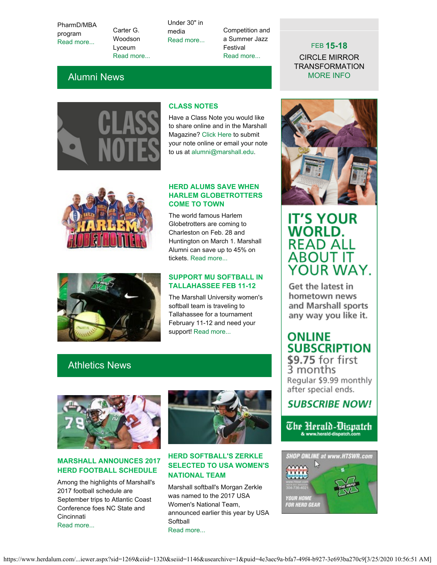PharmD/MBA program [Read more...](https://www.marshall.edu/ucomm/2017/01/24/marshalls-school-of-pharmacy-lewis-college-of-business-offer-collaborative-pharmdmba-program/)

Carter G. Woodson Lyceum [Read more...](https://www.marshall.edu/ucomm/2017/01/20/marshall-university-launches-dr-carter-g-woodson-lyceum/) Under 30" in media [Read more...](https://www.marshall.edu/ucomm/2017/01/03/marshall-grad-mcelroy-named-as-forbes-30-under-30/)

Competition and a Summer Jazz Festival [Read more...](https://www.marshall.edu/ucomm/2017/01/13/marshall-to-be-home-of-ellis-marsalis-international-jazz-piano-competition-festival/)

## Alumni News



## **CLASS NOTES**

Have a Class Note you would like to share online and in the Marshall Magazine? [Click Here](http://www.herdalum.com/s/1269/index.aspx?sid=1269&gid=1&pgid=827) to submit your note online or email your note to us at [alumni@marshall.edu](mailto:alumni@marshall.edu).



#### **HERD ALUMS SAVE WHEN HARLEM GLOBETROTTERS COME TO TOWN**

The world famous Harlem Globetrotters are coming to Charleston on Feb. 28 and Huntington on March 1. Marshall Alumni can save up to 45% on tickets. [Read more...](https://www.herdalum.com/s/1269/images/editor_documents/lc/herd_heaven/2017_marshall_u_-_globies.pdf)



#### **SUPPORT MU SOFTBALL IN TALLAHASSEE FEB 11-12**

The Marshall University women's softball team is traveling to Tallahassee for a tournament February 11-12 and need your support! [Read more...](http://www.herdalum.com/s/1269/index.aspx?sid=1269&gid=1&pgid=252&cid=2651&ecid=2651&crid=0&calpgid=13&calcid=664)

## Athletics News



## **MARSHALL ANNOUNCES 2017 HERD FOOTBALL SCHEDULE**

Among the highlights of Marshall's 2017 football schedule are September trips to Atlantic Coast Conference foes NC State and Cincinnati [Read more...](http://www.herdzone.com/sports/m-footbl/spec-rel/012617aaa.html)



## **HERD SOFTBALL'S ZERKLE SELECTED TO USA WOMEN'S NATIONAL TEAM**

Marshall softball's Morgan Zerkle was named to the 2017 USA Women's National Team, announced earlier this year by USA Softball [Read more...](http://www.herdzone.com/sports/w-softbl/spec-rel/010617aaa.html)



FEB **15-18** CIRCLE MIRROR TRANSFORMATION [MORE INFO](http://www.marshall.edu/theatre/theatre-season-2016-17/)

## **IT'S YOUR WORLD. READ ALL ABOUT IT** YOUR WAY.

Get the latest in hometown news and Marshall sports any way you like it.

## **ONLINE SUBSCRIPTION**

\$9.75 for first 3 months Regular \$9.99 monthly after special ends.

## **SUBSCRIBE NOW!**

The Herald-Dispatch & www.herald-dispatch.com